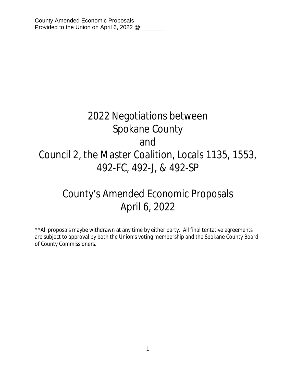# 2022 Negotiations between Spokane County and Council 2, the Master Coalition, Locals 1135, 1553, 492-FC, 492-J, & 492-SP

# County's Amended Economic Proposals April 6, 2022

\*\*All proposals maybe withdrawn at any time by either party. All final tentative agreements are subject to approval by both the Union's voting membership and the Spokane County Board of County Commissioners.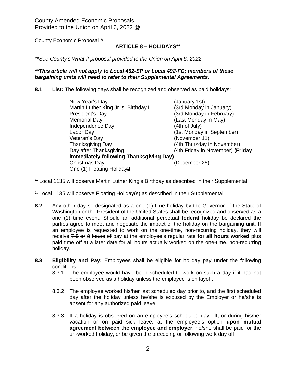# **ARTICLE 8 – HOLIDAYS\*\***

\*\**See County's What-if proposal provided to the Union on April 6, 2022*

# *\*\*This article will not apply to Local 492-SP or Local 492-FC; members of these bargaining units will need to refer to their Supplemental Agreements.*

**8.1 List:** The following days shall be recognized and observed as paid holidays:

| New Year's Day                          | (January 1st)                    |  |
|-----------------------------------------|----------------------------------|--|
| Martin Luther King Jr.'s. Birthday4     | (3rd Monday in January)          |  |
| President's Day                         | (3rd Monday in February)         |  |
| <b>Memorial Day</b>                     | (Last Monday in May)             |  |
| Independence Day                        | (4th of July)                    |  |
| Labor Day                               | (1st Monday in September)        |  |
| Veteran's Day                           | (November 11)                    |  |
| <b>Thanksgiving Day</b>                 | (4th Thursday in November)       |  |
| Day after Thanksgiving                  | (4th Friday in November) (Friday |  |
| immediately following Thanksgiving Day) |                                  |  |
| Christmas Day                           | (December 25)                    |  |
| One (1) Floating Holiday2               |                                  |  |

- <sup>1.</sup> Local 1135 will observe Martin Luther King's Birthday as described in their Supplemental
- <sup>2.</sup> Local 1135 will observe Floating Holiday(s) as described in their Supplemental
- **8.2** Any other day so designated as a one (1) time holiday by the Governor of the State of Washington or the President of the United States shall be recognized and observed as a one (1) time event. Should an additional perpetual **federal** holiday be declared the parties agree to meet and negotiate the impact of the holiday on the bargaining unit. If an employee is requested to work on the one-time, non-recurring holiday, they will receive 7.5 or 8 hours of pay at the employee's regular rate **for all hours worked** plus paid time off at a later date for all hours actually worked on the one-time, non-recurring holiday.
- **8.3 Eligibility and Pay:** Employees shall be eligible for holiday pay under the following conditions:
	- 8.3.1 The employee would have been scheduled to work on such a day if it had not been observed as a holiday unless the employee is on layoff.
	- 8.3.2 The employee worked his/her last scheduled day prior to, and the first scheduled day after the holiday unless he/she is excused by the Employer or he/she is absent for any authorized paid leave.
	- 8.3.3 If a holiday is observed on an employee's scheduled day off**,** or during his/her vacation or on paid sick leave, at the employee's option **upon mutual agreement between the employee and employer,** he/she shall be paid for the un-worked holiday, or be given the preceding or following work day off.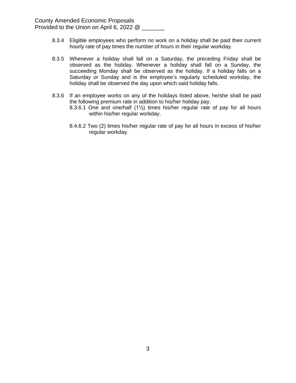- 8.3.4 Eligible employees who perform no work on a holiday shall be paid their current hourly rate of pay times the number of hours in their regular workday.
- 8.3.5 Whenever a holiday shall fall on a Saturday, the preceding Friday shall be observed as the holiday. Whenever a holiday shall fall on a Sunday, the succeeding Monday shall be observed as the holiday. If a holiday falls on a Saturday or Sunday and is the employee's regularly scheduled workday, the holiday shall be observed the day upon which said holiday falls.
- 8.3.6 If an employee works on any of the holidays listed above, he/she shall be paid the following premium rate in addition to his/her holiday pay.
	- 8.3.6.1 One and one/half (1½) times his/her regular rate of pay for all hours within his/her regular workday.
	- 8.4.6.2 Two (2) times his/her regular rate of pay for all hours in excess of his/her regular workday.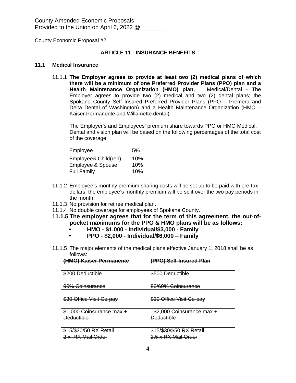# **ARTICLE 11 - INSURANCE BENEFITS**

#### **11.1 Medical Insurance**

11.1.1 **The Employer agrees to provide at least two (2) medical plans of which there will be a minimum of one Preferred Provider Plans (PPO) plan and a Health Maintenance Organization (HMO) plan.** Medical/Dental - The Employer agrees to provide two (2) medical and two (2) dental plans; the Spokane County Self Insured Preferred Provider Plans (PPO – Premera and Delta Dental of Washington) and a Health Maintenance Organization (HMO – Kaiser Permanente and Willamette dental).

The Employer's and Employees' premium share towards PPO or HMO Medical, Dental and vision plan will be based on the following percentages of the total cost of the coverage:

| Employee                     | 5%  |
|------------------------------|-----|
| Employee& Child(ren)         | 10% |
| <b>Employee &amp; Spouse</b> | 10% |
| <b>Full Family</b>           | 10% |

- 11.1.2 Employee's monthly premium sharing costs will be set up to be paid with pre-tax dollars, the employee's monthly premium will be split over the two pay periods in the month.
- 11.1.3 No provision for retiree medical plan.
- 11.1.4 No double coverage for employees of Spokane County.
- **11.1.5 The employer agrees that for the term of this agreement, the out-ofpocket maximums for the PPO & HMO plans will be as follows:**
	- **• HMO \$1,000 Individual/\$3,000 Family**
	- **• PPO \$2,000 Individual/\$6,000 – Family**
- 11.1.5 The major elements of the medical plans effective January 1, 2018 shall be as follows:

| (HMO) Kaiser Permanente   | (PPO) Self-Insured Plan   |
|---------------------------|---------------------------|
|                           |                           |
| \$200 Deductible          | \$500 Deductible          |
|                           |                           |
| 90% Coinsurance           | 80/60% Coinsurance        |
|                           |                           |
| \$30 Office Visit Co-pay  | \$30 Office Visit Co-pay  |
|                           |                           |
| \$1,000 Coinsurance max + | \$2,000 Coinsurance max + |
| <b>Deductible</b>         | <b>Deductible</b>         |
|                           |                           |
| \$15/\$30/50 RX Retail    | \$15/\$30/\$50 RX Retail  |
| 2 x RX Mail Order         | 2.5 x RX Mail Order       |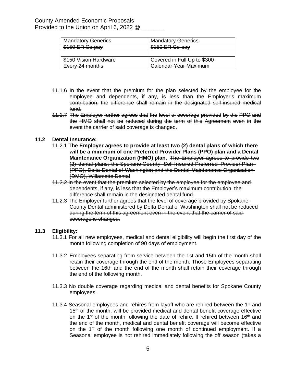| <b>Mandatory Generics</b> | <b>Mandatory Generics</b>   |
|---------------------------|-----------------------------|
| \$150 ER Co-pay           | \$150 ER Co-pay             |
|                           |                             |
| \$150 Vision Hardware     | Covered in Full Up to \$300 |
| Every 24 months           | Calendar Year Maximum       |

- 11.1.6 In the event that the premium for the plan selected by the employee for the employee and dependents, if any, is less than the Employer's maximum contribution, the difference shall remain in the designated self-insured medical fund.
- 11.1.7 The Employer further agrees that the level of coverage provided by the PPO and the HMO shall not be reduced during the term of this Agreement even in the event the carrier of said coverage is changed.

#### **11.2 Dental Insurance:**

- 11.2.1 **The Employer agrees to provide at least two (2) dental plans of which there will be a minimum of one Preferred Provider Plans (PPO) plan and a Dental Maintenance Organization (HMO) plan.** The Employer agrees to provide two (2) dental plans; the Spokane County Self Insured Preferred Provider Plan (PPO), Delta Dental of Washington and the Dental Maintenance Organization (DMO), Willamette Dental
- 11.2.2 In the event that the premium selected by the employee for the employee and dependents, if any, is less that the Employer's maximum contribution, the difference shall remain in the designated dental fund.
- 11.2.3 The Employer further agrees that the level of coverage provided by Spokane County Dental administered by Delta Dental of Washington shall not be reduced during the term of this agreement even in the event that the carrier of said coverage is changed.

#### **11.3 Eligibility:**

- 11.3.1 For all new employees, medical and dental eligibility will begin the first day of the month following completion of 90 days of employment.
- 11.3.2 Employees separating from service between the 1st and 15th of the month shall retain their coverage through the end of the month. Those Employees separating between the 16th and the end of the month shall retain their coverage through the end of the following month.
- 11.3.3 No double coverage regarding medical and dental benefits for Spokane County employees.
- 11.3.4 Seasonal employees and rehires from layoff who are rehired between the  $1<sup>st</sup>$  and 15<sup>th</sup> of the month, will be provided medical and dental benefit coverage effective on the 1<sup>st</sup> of the month following the date of rehire. If rehired between 16<sup>th</sup> and the end of the month, medical and dental benefit coverage will become effective on the 1<sup>st</sup> of the month following one month of continued employment. If a Seasonal employee is not rehired immediately following the off season (takes a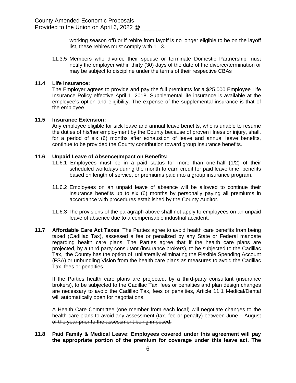working season off) or if rehire from layoff is no longer eligible to be on the layoff list, these rehires must comply with 11.3.1.

11.3.5 Members who divorce their spouse or terminate Domestic Partnership must notify the employer within thirty (30) days of the date of the divorce/termination or may be subject to discipline under the terms of their respective CBAs

# **11.4 Life Insurance:**

The Employer agrees to provide and pay the full premiums for a \$25,000 Employee Life Insurance Policy effective April 1, 2018. Supplemental life insurance is available at the employee's option and eligibility. The expense of the supplemental insurance is that of the employee.

# **11.5 Insurance Extension:**

Any employee eligible for sick leave and annual leave benefits, who is unable to resume the duties of his/her employment by the County because of proven illness or injury, shall, for a period of six (6) months after exhaustion of leave and annual leave benefits, continue to be provided the County contribution toward group insurance benefits.

# **11.6 Unpaid Leave of Absence/Impact on Benefits:**

- 11.6.1 Employees must be in a paid status for more than one-half (1/2) of their scheduled workdays during the month to earn credit for paid leave time, benefits based on length of service, or premiums paid into a group insurance program.
- 11.6.2 Employees on an unpaid leave of absence will be allowed to continue their insurance benefits up to six (6) months by personally paying all premiums in accordance with procedures established by the County Auditor.
- 11.6.3 The provisions of the paragraph above shall not apply to employees on an unpaid leave of absence due to a compensable industrial accident.
- **11.7 Affordable Care Act Taxes**: The Parties agree to avoid health care benefits from being taxed (Cadillac Tax), assessed a fee or penalized by any State or Federal mandate regarding health care plans. The Parties agree that if the health care plans are projected, by a third party consultant (insurance brokers), to be subjected to the Cadillac Tax, the County has the option of unilaterally eliminating the Flexible Spending Account (FSA) or unbundling Vision from the health care plans as measures to avoid the Cadillac Tax, fees or penalties.

If the Parties health care plans are projected, by a third-party consultant (insurance brokers), to be subjected to the Cadillac Tax, fees or penalties and plan design changes are necessary to avoid the Cadillac Tax, fees or penalties, Article 11.1 Medical/Dental will automatically open for negotiations.

A Health Care Committee (one member from each local) will negotiate changes to the health care plans to avoid any assessment (tax, fee or penalty) between June - August of the year prior to the assessment being imposed.

# **11.8 Paid Family & Medical Leave: Employees covered under this agreement will pay the appropriate portion of the premium for coverage under this leave act. The**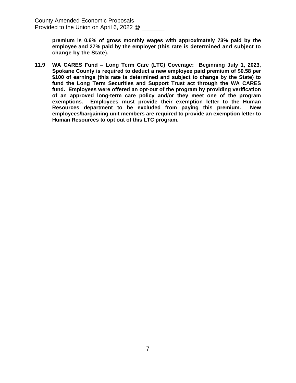**premium is 0.6% of gross monthly wages with approximately 73% paid by the employee and 27% paid by the employer** (**this rate is determined and subject to change by the State**)**.**

**11.9 WA CARES Fund – Long Term Care (LTC) Coverage: Beginning July 1, 2023, Spokane County is required to deduct a new employee paid premium of \$0.58 per \$100 of earnings (this rate is determined and subject to change by the State) to fund the Long Term Securities and Support Trust act through the WA CARES fund. Employees were offered an opt-out of the program by providing verification of an approved long-term care policy and/or they meet one of the program exemptions. Employees must provide their exemption letter to the Human Resources department to be excluded from paying this premium. New employees/bargaining unit members are required to provide an exemption letter to Human Resources to opt out of this LTC program.**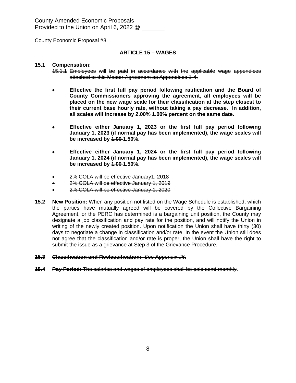County Economic Proposal #3

# **ARTICLE 15 – WAGES**

#### **15.1 Compensation:**

- 15.1.1 Employees will be paid in accordance with the applicable wage appendices attached to this Master Agreement as Appendixes 1-4.
- **Effective the first full pay period following ratification and the Board of County Commissioners approving the agreement, all employees will be placed on the new wage scale for their classification at the step closest to their current base hourly rate, without taking a pay decrease. In addition, all scales will increase by 2.00% 1.00% percent on the same date.**
- **Effective either January 1, 2023 or the first full pay period following January 1, 2023 (if normal pay has been implemented), the wage scales will be increased by 1.00 1.50%.**
- **Effective either January 1, 2024 or the first full pay period following January 1, 2024 (if normal pay has been implemented), the wage scales will be increased by 1.00 1.50%.**
- 2% COLA will be effective January1, 2018
- 2% COLA will be effective January 1, 2019
- 2% COLA will be effective January 1, 2020
- **15.2 New Position:** When any position not listed on the Wage Schedule is established, which the parties have mutually agreed will be covered by the Collective Bargaining Agreement, or the PERC has determined is a bargaining unit position, the County may designate a job classification and pay rate for the position, and will notify the Union in writing of the newly created position. Upon notification the Union shall have thirty (30) days to negotiate a change in classification and/or rate. In the event the Union still does not agree that the classification and/or rate is proper, the Union shall have the right to submit the issue as a grievance at Step 3 of the Grievance Procedure.

#### **15.3 Classification and Reclassification:** See Appendix #6.

**15.4 Pay Period:** The salaries and wages of employees shall be paid semi-monthly.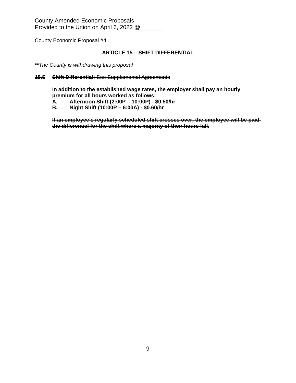County Economic Proposal #4

# **ARTICLE 15 – SHIFT DIFFERENTIAL**

- **\*\****The County is withdrawing this proposal*
- **15.5 Shift Differential:** See Supplemental Agreements

**In addition to the established wage rates, the employer shall pay an hourly premium for all hours worked as follows:**

- **A. Afternoon Shift (2:00P – 10:00P) \$0.50/hr**
- **B. Night Shift (10:00P – 6:00A) \$0.60/hr**

**If an employee's regularly scheduled shift crosses over, the employee will be paid the differential for the shift where a majority of their hours fall.**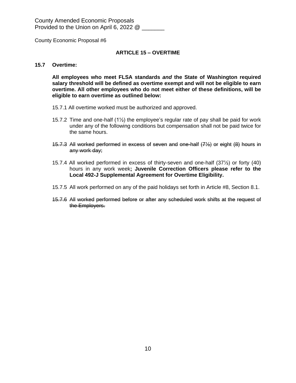County Economic Proposal #6

#### **ARTICLE 15 – OVERTIME**

#### **15.7 Overtime:**

**All employees who meet FLSA standards** *and* **the State of Washington required salary threshold will be defined as overtime exempt and will not be eligible to earn overtime. All other employees who do not meet either of these definitions, will be eligible to earn overtime as outlined below:**

- 15.7.1 All overtime worked must be authorized and approved.
- 15.7.2 Time and one-half  $(1/2)$  the employee's regular rate of pay shall be paid for work under any of the following conditions but compensation shall not be paid twice for the same hours.
- 15.7.3 All worked performed in excess of seven and one-half (7½) or eight (8) hours in any work day;
- 15.7.4 All worked performed in excess of thirty-seven and one-half (37½) or forty (40) hours in any work week**; Juvenile Correction Officers please refer to the Local 492-J Supplemental Agreement for Overtime Eligibility.**
- 15.7.5 All work performed on any of the paid holidays set forth in Article #8, Section 8.1.
- 15.7.6 All worked performed before or after any scheduled work shifts at the request of the Employers.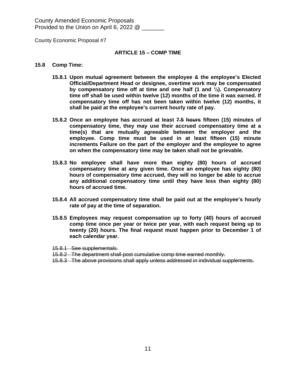County Economic Proposal #7

#### **ARTICLE 15 – COMP TIME**

#### **15.8 Comp Time:**

- **15.8.1 Upon mutual agreement between the employee & the employee's Elected Official/Department Head or designee, overtime work may be compensated by compensatory time off at time and one half (1 and ½). Compensatory time off shall be used within twelve (12) months of the time it was earned. If compensatory time off has not been taken within twelve (12) months, it shall be paid at the employee's current hourly rate of pay.**
- **15.8.2 Once an employee has accrued at least 7.5 hours fifteen (15) minutes of compensatory time, they may use their accrued compensatory time at a time(s) that are mutually agreeable between the employer and the employee. Comp time must be used in at least fifteen (15) minute increments Failure on the part of the employer and the employee to agree on when the compensatory time may be taken shall not be grievable.**
- **15.8.3 No employee shall have more than eighty (80) hours of accrued compensatory time at any given time. Once an employee has eighty (80) hours of compensatory time accrued, they will no longer be able to accrue any additional compensatory time until they have less than eighty (80) hours of accrued time.**
- **15.8.4 All accrued compensatory time shall be paid out at the employee's hourly rate of pay at the time of separation.**
- **15.8.5 Employees may request compensation up to forty (40) hours of accrued comp time once per year or twice per year, with each request being up to twenty (20) hours. The final request must happen prior to December 1 of each calendar year.**
- 15.8.1 See supplementals.
- 15.8.2 The department shall post cumulative comp time earned monthly.
- 15.8.3 The above provisions shall apply unless addressed in individual supplements.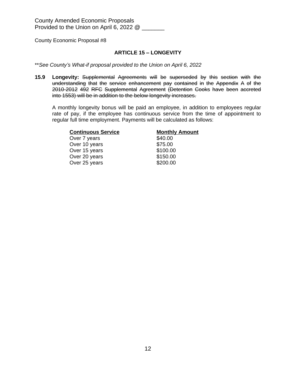# **ARTICLE 15 – LONGEVITY**

\*\**See County's What-if proposal provided to the Union on April 6, 2022*

**15.9 Longevity:** Supplemental Agreements will be superseded by this section with the understanding that the service enhancement pay contained in the Appendix A of the 2010-2012 492 RFC Supplemental Agreement (Detention Cooks have been accreted into 1553) will be in addition to the below longevity increases.

A monthly longevity bonus will be paid an employee, in addition to employees regular rate of pay, if the employee has continuous service from the time of appointment to regular full time employment. Payments will be calculated as follows:

| <b>Continuous Service</b> | <b>Monthly Amount</b> |
|---------------------------|-----------------------|
| Over 7 years              | \$40.00               |
| Over 10 years             | \$75.00               |
| Over 15 years             | \$100.00              |
| Over 20 years             | \$150.00              |
| Over 25 years             | \$200.00              |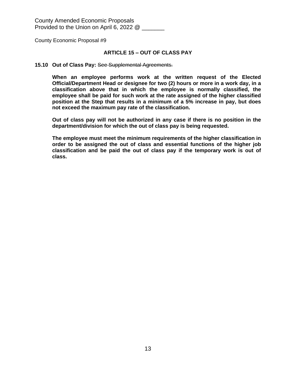#### **ARTICLE 15 – OUT OF CLASS PAY**

#### **15.10 Out of Class Pay:** See Supplemental Agreements.

**When an employee performs work at the written request of the Elected Official/Department Head or designee for two (2) hours or more in a work day, in a classification above that in which the employee is normally classified, the employee shall be paid for such work at the rate assigned of the higher classified position at the Step that results in a minimum of a 5% increase in pay, but does not exceed the maximum pay rate of the classification.**

**Out of class pay will not be authorized in any case if there is no position in the department/division for which the out of class pay is being requested.**

**The employee must meet the minimum requirements of the higher classification in order to be assigned the out of class and essential functions of the higher job classification and be paid the out of class pay if the temporary work is out of class.**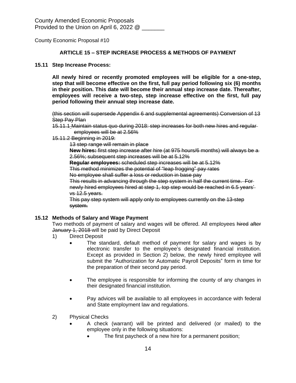County Economic Proposal #10

# **ARTICLE 15 – STEP INCREASE PROCESS & METHODS OF PAYMENT**

#### **15.11 Step Increase Process:**

**All newly hired or recently promoted employees will be eligible for a one-step, step that will become effective on the first, full pay period following six (6) months in their position. This date will become their annual step increase date. Thereafter, employees will receive a two-step, step increase effective on the first, full pay period following their annual step increase date.**

(this section will supersede Appendix 6 and supplemental agreements) Conversion of 13 **Step Pay Plan** 

- 15.11.1 Maintain status quo during 2018: step increases for both new hires and regular employees will be at 2.56%
- 15.11.2 Beginning in 2019:

13 step range will remain in place

**New hires:** first step increase after hire (at 975 hours/6 months) will always be a 2.56%; subsequent step increases will be at 5.12%

**Regular employees:** scheduled step increases will be at 5.12%

This method minimizes the potential of "leap frogging" pay rates

No employee shall suffer a loss or reduction in base pay

This results in advancing through the step system in half the current time. For newly hired employees hired at step 1, top step would be reached in 6.5 years' vs 12.5 years.

This pay step system will apply only to employees currently on the 13-step system.

#### **15.12 Methods of Salary and Wage Payment**

Two methods of payment of salary and wages will be offered. All employees hired after January 1, 2018 will be paid by Direct Deposit

- 1) Direct Deposit
	- The standard, default method of payment for salary and wages is by electronic transfer to the employee's designated financial institution. Except as provided in Section 2) below, the newly hired employee will submit the "Authorization for Automatic Payroll Deposits" form in time for the preparation of their second pay period.
	- The employee is responsible for informing the county of any changes in their designated financial institution.
	- Pay advices will be available to all employees in accordance with federal and State employment law and regulations.
- 2) Physical Checks
	- A check (warrant) will be printed and delivered (or mailed) to the employee only in the following situations:
		- The first paycheck of a new hire for a permanent position;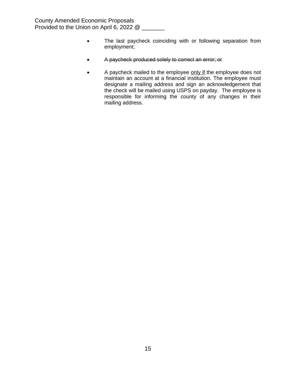- The last paycheck coinciding with or following separation from employment;
- A paycheck produced solely to correct an error; or
- A paycheck mailed to the employee only if the employee does not maintain an account at a financial institution. The employee must designate a mailing address and sign an acknowledgement that the check will be mailed using USPS on payday. The employee is responsible for informing the county of any changes in their mailing address.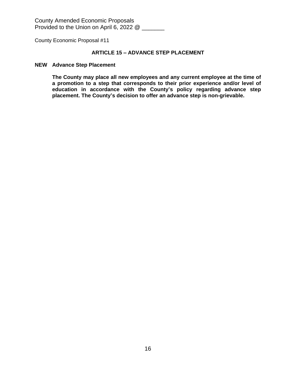County Economic Proposal #11

# **ARTICLE 15 – ADVANCE STEP PLACEMENT**

#### **NEW Advance Step Placement**

**The County may place all new employees and any current employee at the time of a promotion to a step that corresponds to their prior experience and/or level of education in accordance with the County's policy regarding advance step placement. The County's decision to offer an advance step is non-grievable.**